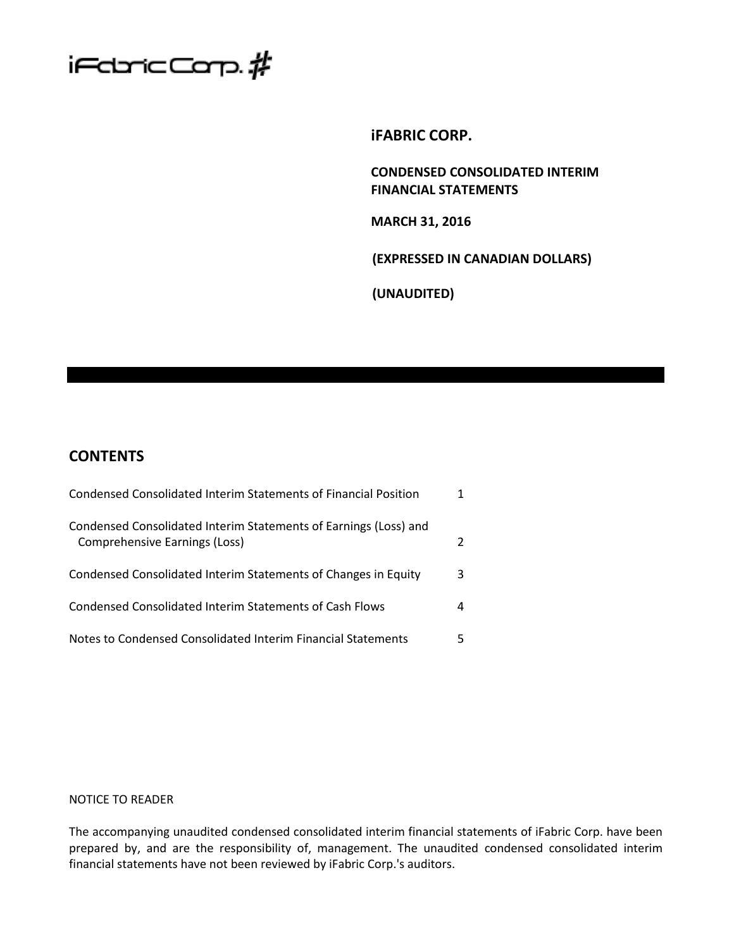

## **iFABRIC CORP.**

**CONDENSED CONSOLIDATED INTERIM FINANCIAL STATEMENTS**

**MARCH 31, 2016**

**(EXPRESSED IN CANADIAN DOLLARS)**

**(UNAUDITED)**

# **CONTENTS**

| Condensed Consolidated Interim Statements of Financial Position                                   |   |
|---------------------------------------------------------------------------------------------------|---|
| Condensed Consolidated Interim Statements of Earnings (Loss) and<br>Comprehensive Earnings (Loss) |   |
| Condensed Consolidated Interim Statements of Changes in Equity                                    | 3 |
| Condensed Consolidated Interim Statements of Cash Flows                                           | 4 |
| Notes to Condensed Consolidated Interim Financial Statements                                      |   |

## NOTICE TO READER

The accompanying unaudited condensed consolidated interim financial statements of iFabric Corp. have been prepared by, and are the responsibility of, management. The unaudited condensed consolidated interim financial statements have not been reviewed by iFabric Corp.'s auditors.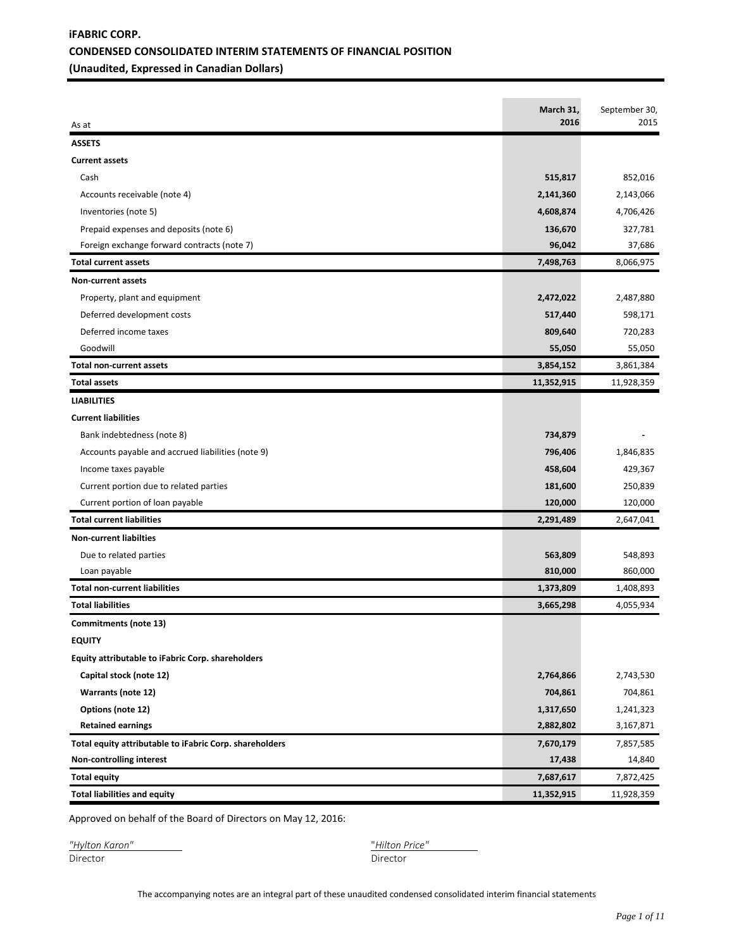## **iFABRIC CORP. CONDENSED CONSOLIDATED INTERIM STATEMENTS OF FINANCIAL POSITION (Unaudited, Expressed in Canadian Dollars)**

|                                                         | March 31,  | September 30, |
|---------------------------------------------------------|------------|---------------|
| As at                                                   | 2016       | 2015          |
| <b>ASSETS</b>                                           |            |               |
| <b>Current assets</b>                                   |            |               |
| Cash                                                    | 515,817    | 852,016       |
| Accounts receivable (note 4)                            | 2,141,360  | 2,143,066     |
| Inventories (note 5)                                    | 4,608,874  | 4,706,426     |
| Prepaid expenses and deposits (note 6)                  | 136,670    | 327,781       |
| Foreign exchange forward contracts (note 7)             | 96,042     | 37,686        |
| <b>Total current assets</b>                             | 7,498,763  | 8,066,975     |
| <b>Non-current assets</b>                               |            |               |
| Property, plant and equipment                           | 2,472,022  | 2,487,880     |
| Deferred development costs                              | 517,440    | 598,171       |
| Deferred income taxes                                   | 809,640    | 720,283       |
| Goodwill                                                | 55,050     | 55,050        |
| <b>Total non-current assets</b>                         | 3,854,152  | 3,861,384     |
| <b>Total assets</b>                                     | 11,352,915 | 11,928,359    |
| <b>LIABILITIES</b>                                      |            |               |
| <b>Current liabilities</b>                              |            |               |
| Bank indebtedness (note 8)                              | 734,879    |               |
| Accounts payable and accrued liabilities (note 9)       | 796,406    | 1,846,835     |
| Income taxes payable                                    | 458,604    | 429,367       |
| Current portion due to related parties                  | 181,600    | 250,839       |
| Current portion of loan payable                         | 120,000    | 120,000       |
| <b>Total current liabilities</b>                        | 2,291,489  | 2,647,041     |
| <b>Non-current liabilties</b>                           |            |               |
| Due to related parties                                  | 563,809    | 548,893       |
| Loan payable                                            | 810,000    | 860,000       |
| <b>Total non-current liabilities</b>                    | 1,373,809  | 1,408,893     |
| <b>Total liabilities</b>                                | 3,665,298  | 4,055,934     |
| Commitments (note 13)                                   |            |               |
| <b>EQUITY</b>                                           |            |               |
| Equity attributable to iFabric Corp. shareholders       |            |               |
| Capital stock (note 12)                                 | 2,764,866  | 2,743,530     |
| Warrants (note 12)                                      | 704,861    | 704,861       |
| Options (note 12)                                       | 1,317,650  | 1,241,323     |
| <b>Retained earnings</b>                                | 2,882,802  | 3,167,871     |
| Total equity attributable to iFabric Corp. shareholders | 7,670,179  | 7,857,585     |
| Non-controlling interest                                | 17,438     | 14,840        |
| <b>Total equity</b>                                     | 7,687,617  | 7,872,425     |
| <b>Total liabilities and equity</b>                     | 11,352,915 | 11,928,359    |

Approved on behalf of the Board of Directors on May 12, 2016:

*"Hylton Karon"* "*Hilton Price"* 

Director Director

The accompanying notes are an integral part of these unaudited condensed consolidated interim financial statements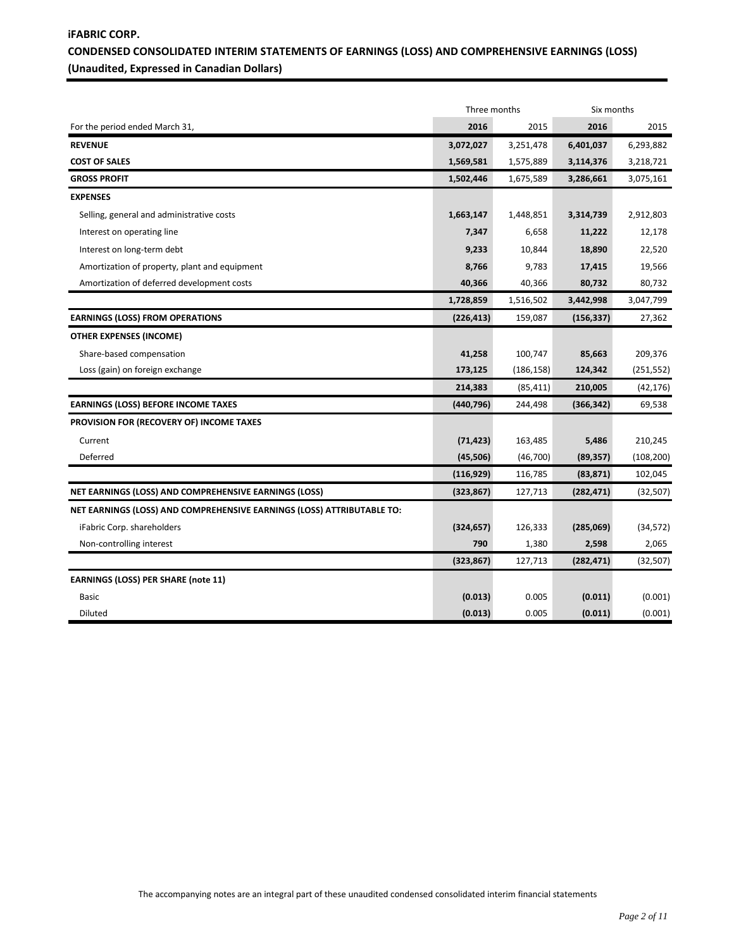## **iFABRIC CORP. CONDENSED CONSOLIDATED INTERIM STATEMENTS OF EARNINGS (LOSS) AND COMPREHENSIVE EARNINGS (LOSS) (Unaudited, Expressed in Canadian Dollars)**

|                                                                        | Three months |            | Six months |            |  |
|------------------------------------------------------------------------|--------------|------------|------------|------------|--|
| For the period ended March 31,                                         | 2016         | 2015       | 2016       | 2015       |  |
| <b>REVENUE</b>                                                         | 3,072,027    | 3,251,478  | 6,401,037  | 6,293,882  |  |
| <b>COST OF SALES</b>                                                   | 1,569,581    | 1,575,889  | 3,114,376  | 3,218,721  |  |
| <b>GROSS PROFIT</b>                                                    | 1,502,446    | 1,675,589  | 3,286,661  | 3,075,161  |  |
| <b>EXPENSES</b>                                                        |              |            |            |            |  |
| Selling, general and administrative costs                              | 1,663,147    | 1,448,851  | 3,314,739  | 2,912,803  |  |
| Interest on operating line                                             | 7,347        | 6,658      | 11,222     | 12,178     |  |
| Interest on long-term debt                                             | 9,233        | 10,844     | 18,890     | 22,520     |  |
| Amortization of property, plant and equipment                          | 8,766        | 9,783      | 17,415     | 19,566     |  |
| Amortization of deferred development costs                             | 40,366       | 40,366     | 80,732     | 80,732     |  |
|                                                                        | 1,728,859    | 1,516,502  | 3,442,998  | 3,047,799  |  |
| <b>EARNINGS (LOSS) FROM OPERATIONS</b>                                 | (226, 413)   | 159,087    | (156,337)  | 27,362     |  |
| <b>OTHER EXPENSES (INCOME)</b>                                         |              |            |            |            |  |
| Share-based compensation                                               | 41,258       | 100,747    | 85,663     | 209,376    |  |
| Loss (gain) on foreign exchange                                        | 173,125      | (186, 158) | 124,342    | (251, 552) |  |
|                                                                        | 214,383      | (85, 411)  | 210,005    | (42, 176)  |  |
| <b>EARNINGS (LOSS) BEFORE INCOME TAXES</b>                             | (440, 796)   | 244,498    | (366, 342) | 69,538     |  |
| <b>PROVISION FOR (RECOVERY OF) INCOME TAXES</b>                        |              |            |            |            |  |
| Current                                                                | (71, 423)    | 163,485    | 5,486      | 210,245    |  |
| Deferred                                                               | (45, 506)    | (46,700)   | (89, 357)  | (108, 200) |  |
|                                                                        | (116, 929)   | 116,785    | (83, 871)  | 102,045    |  |
| NET EARNINGS (LOSS) AND COMPREHENSIVE EARNINGS (LOSS)                  | (323, 867)   | 127,713    | (282, 471) | (32, 507)  |  |
| NET EARNINGS (LOSS) AND COMPREHENSIVE EARNINGS (LOSS) ATTRIBUTABLE TO: |              |            |            |            |  |
| iFabric Corp. shareholders                                             | (324, 657)   | 126,333    | (285,069)  | (34, 572)  |  |
| Non-controlling interest                                               | 790          | 1,380      | 2,598      | 2,065      |  |
|                                                                        | (323, 867)   | 127,713    | (282, 471) | (32, 507)  |  |
| <b>EARNINGS (LOSS) PER SHARE (note 11)</b>                             |              |            |            |            |  |
| <b>Basic</b>                                                           | (0.013)      | 0.005      | (0.011)    | (0.001)    |  |
| Diluted                                                                | (0.013)      | 0.005      | (0.011)    | (0.001)    |  |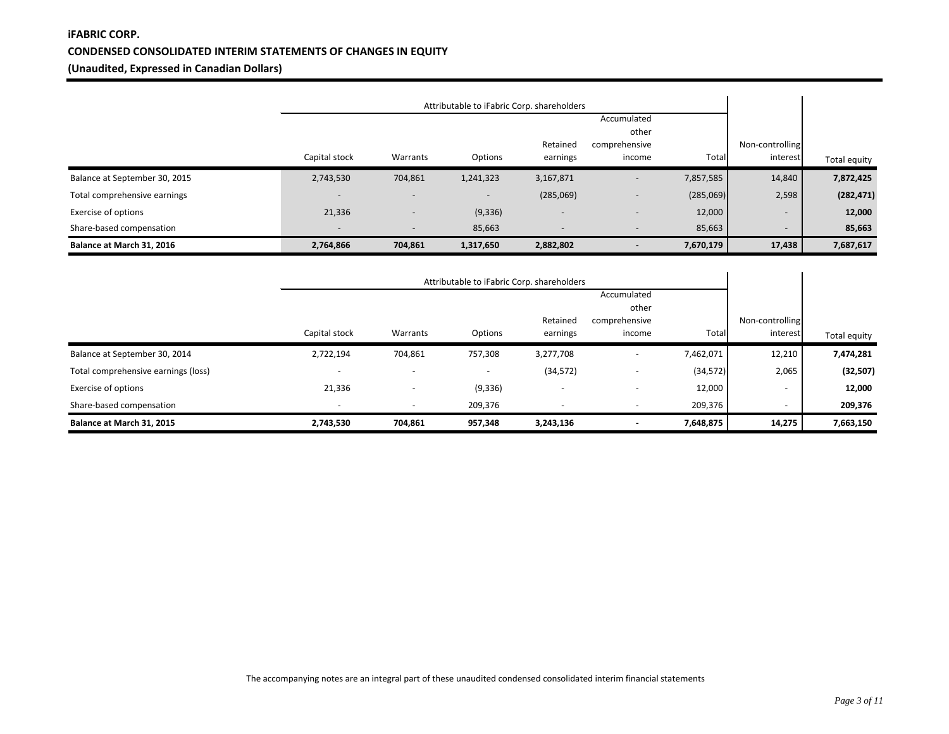## **iFABRIC CORP. CONDENSED CONSOLIDATED INTERIM STATEMENTS OF CHANGES IN EQUITY (Unaudited, Expressed in Canadian Dollars)**

|                               |               | Attributable to iFabric Corp. shareholders |                          |                          |                          |           |                          |              |
|-------------------------------|---------------|--------------------------------------------|--------------------------|--------------------------|--------------------------|-----------|--------------------------|--------------|
|                               |               |                                            |                          |                          | Accumulated              |           |                          |              |
|                               |               |                                            |                          |                          | other                    |           |                          |              |
|                               |               |                                            |                          | Retained                 | comprehensive            |           | Non-controlling          |              |
|                               | Capital stock | Warrants                                   | Options                  | earnings                 | income                   | Total     | interest                 | Total equity |
| Balance at September 30, 2015 | 2,743,530     | 704,861                                    | 1,241,323                | 3,167,871                |                          | 7,857,585 | 14,840                   | 7,872,425    |
| Total comprehensive earnings  |               | -                                          | $\overline{\phantom{0}}$ | (285,069)                | $\overline{\phantom{0}}$ | (285,069) | 2,598                    | (282, 471)   |
| Exercise of options           | 21,336        | $\overline{\phantom{a}}$                   | (9,336)                  | $\overline{\phantom{a}}$ | $\overline{\phantom{a}}$ | 12,000    | $\overline{\phantom{a}}$ | 12,000       |
| Share-based compensation      |               | $\overline{\phantom{a}}$                   | 85,663                   | $\overline{\phantom{0}}$ | $\overline{\phantom{0}}$ | 85,663    | $\overline{\phantom{0}}$ | 85,663       |
| Balance at March 31, 2016     | 2,764,866     | 704,861                                    | 1,317,650                | 2,882,802                | $\qquad \qquad$          | 7,670,179 | 17,438                   | 7,687,617    |

|                                     |               | Attributable to iFabric Corp. shareholders |         |                      |                          |           |                             |              |
|-------------------------------------|---------------|--------------------------------------------|---------|----------------------|--------------------------|-----------|-----------------------------|--------------|
|                                     |               |                                            |         |                      | Accumulated<br>other     |           |                             |              |
|                                     | Capital stock | Warrants                                   | Options | Retained<br>earnings | comprehensive<br>income  | Total     | Non-controlling<br>interest | Total equity |
| Balance at September 30, 2014       | 2,722,194     | 704,861                                    | 757,308 | 3,277,708            | -                        | 7,462,071 | 12,210                      | 7,474,281    |
| Total comprehensive earnings (loss) |               |                                            |         | (34, 572)            | $\overline{\phantom{a}}$ | (34, 572) | 2,065                       | (32, 507)    |
| Exercise of options                 | 21,336        |                                            | (9,336) |                      | -                        | 12,000    | $\overline{\phantom{0}}$    | 12,000       |
| Share-based compensation            |               |                                            | 209,376 |                      | $\overline{\phantom{0}}$ | 209,376   | $\overline{\phantom{a}}$    | 209,376      |
| Balance at March 31, 2015           | 2,743,530     | 704,861                                    | 957,348 | 3,243,136            |                          | 7,648,875 | 14,275                      | 7,663,150    |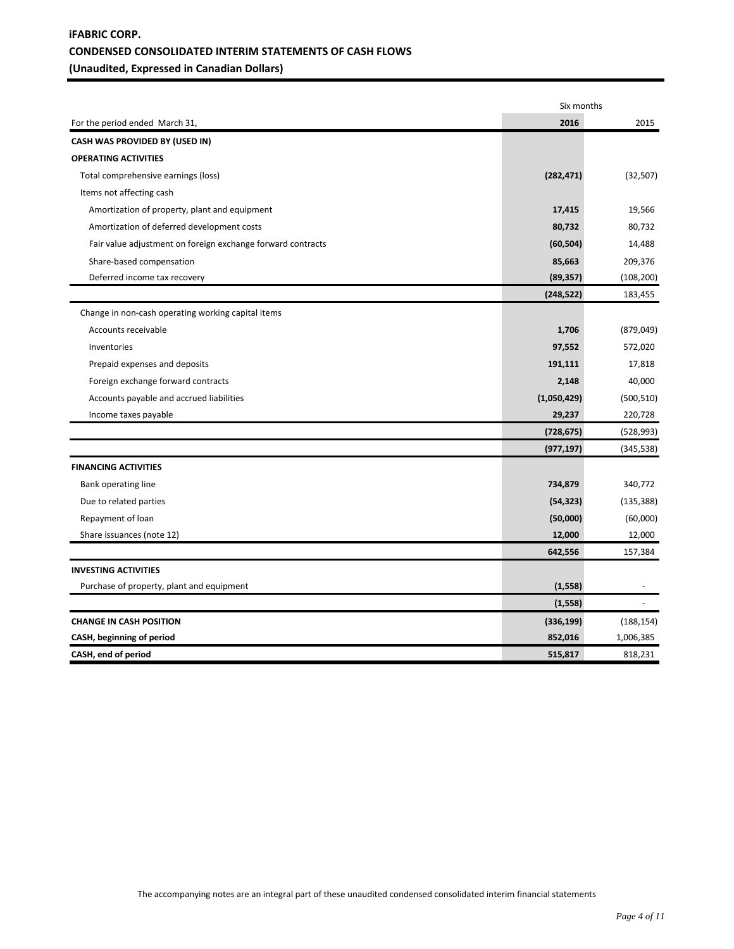## **iFABRIC CORP. CONDENSED CONSOLIDATED INTERIM STATEMENTS OF CASH FLOWS (Unaudited, Expressed in Canadian Dollars)**

|                                                             | Six months  |            |
|-------------------------------------------------------------|-------------|------------|
| For the period ended March 31,                              | 2016        | 2015       |
| CASH WAS PROVIDED BY (USED IN)                              |             |            |
| <b>OPERATING ACTIVITIES</b>                                 |             |            |
| Total comprehensive earnings (loss)                         | (282, 471)  | (32, 507)  |
| Items not affecting cash                                    |             |            |
| Amortization of property, plant and equipment               | 17,415      | 19,566     |
| Amortization of deferred development costs                  | 80,732      | 80,732     |
| Fair value adjustment on foreign exchange forward contracts | (60, 504)   | 14,488     |
| Share-based compensation                                    | 85,663      | 209,376    |
| Deferred income tax recovery                                | (89, 357)   | (108, 200) |
|                                                             | (248, 522)  | 183,455    |
| Change in non-cash operating working capital items          |             |            |
| Accounts receivable                                         | 1,706       | (879, 049) |
| Inventories                                                 | 97,552      | 572,020    |
| Prepaid expenses and deposits                               | 191,111     | 17,818     |
| Foreign exchange forward contracts                          | 2,148       | 40,000     |
| Accounts payable and accrued liabilities                    | (1,050,429) | (500, 510) |
| Income taxes payable                                        | 29,237      | 220,728    |
|                                                             | (728, 675)  | (528, 993) |
|                                                             | (977, 197)  | (345, 538) |
| <b>FINANCING ACTIVITIES</b>                                 |             |            |
| Bank operating line                                         | 734,879     | 340,772    |
| Due to related parties                                      | (54, 323)   | (135, 388) |
| Repayment of loan                                           | (50,000)    | (60,000)   |
| Share issuances (note 12)                                   | 12,000      | 12,000     |
|                                                             | 642,556     | 157,384    |
| <b>INVESTING ACTIVITIES</b>                                 |             |            |
| Purchase of property, plant and equipment                   | (1, 558)    |            |
|                                                             | (1, 558)    |            |
| <b>CHANGE IN CASH POSITION</b>                              | (336, 199)  | (188, 154) |
| CASH, beginning of period                                   | 852,016     | 1,006,385  |
| CASH, end of period                                         | 515,817     | 818,231    |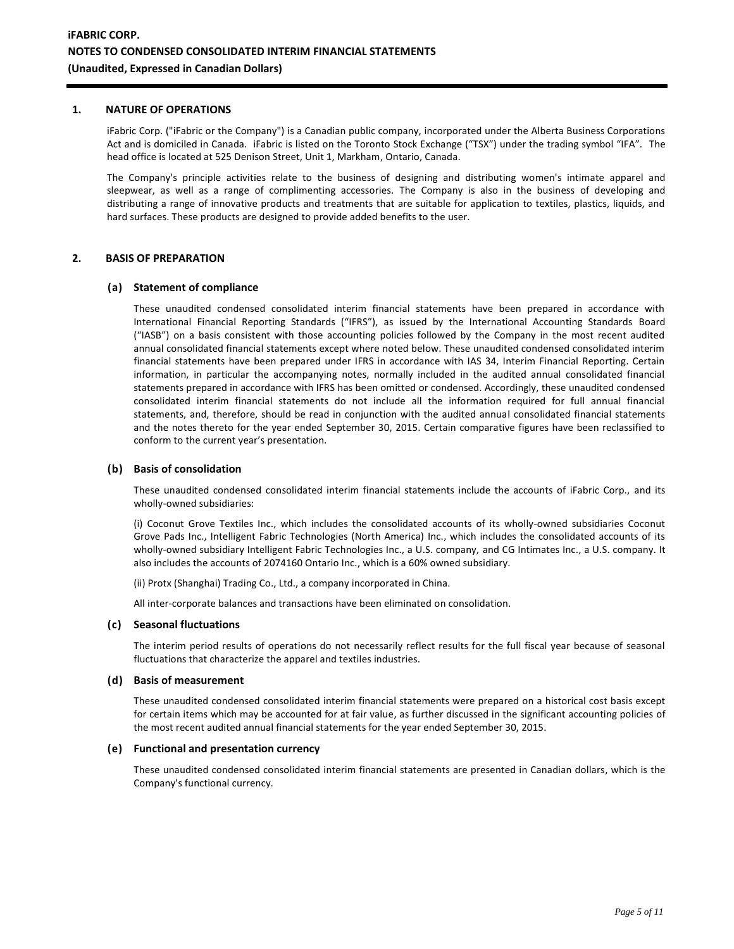#### **1. NATURE OF OPERATIONS**

iFabric Corp. ("iFabric or the Company") is a Canadian public company, incorporated under the Alberta Business Corporations Act and is domiciled in Canada. iFabric is listed on the Toronto Stock Exchange ("TSX") under the trading symbol "IFA". The head office is located at 525 Denison Street, Unit 1, Markham, Ontario, Canada.

The Company's principle activities relate to the business of designing and distributing women's intimate apparel and sleepwear, as well as a range of complimenting accessories. The Company is also in the business of developing and distributing a range of innovative products and treatments that are suitable for application to textiles, plastics, liquids, and hard surfaces. These products are designed to provide added benefits to the user.

### **2. BASIS OF PREPARATION**

#### **(a) Statement of compliance**

These unaudited condensed consolidated interim financial statements have been prepared in accordance with International Financial Reporting Standards ("IFRS"), as issued by the International Accounting Standards Board ("IASB") on a basis consistent with those accounting policies followed by the Company in the most recent audited annual consolidated financial statements except where noted below. These unaudited condensed consolidated interim financial statements have been prepared under IFRS in accordance with IAS 34, Interim Financial Reporting. Certain information, in particular the accompanying notes, normally included in the audited annual consolidated financial statements prepared in accordance with IFRS has been omitted or condensed. Accordingly, these unaudited condensed consolidated interim financial statements do not include all the information required for full annual financial statements, and, therefore, should be read in conjunction with the audited annual consolidated financial statements and the notes thereto for the year ended September 30, 2015. Certain comparative figures have been reclassified to conform to the current year's presentation.

#### **(b) Basis of consolidation**

These unaudited condensed consolidated interim financial statements include the accounts of iFabric Corp., and its wholly-owned subsidiaries:

(i) Coconut Grove Textiles Inc., which includes the consolidated accounts of its wholly-owned subsidiaries Coconut Grove Pads Inc., Intelligent Fabric Technologies (North America) Inc., which includes the consolidated accounts of its wholly-owned subsidiary Intelligent Fabric Technologies Inc., a U.S. company, and CG Intimates Inc., a U.S. company. It also includes the accounts of 2074160 Ontario Inc., which is a 60% owned subsidiary.

(ii) Protx (Shanghai) Trading Co., Ltd., a company incorporated in China.

All inter-corporate balances and transactions have been eliminated on consolidation.

#### **(c) Seasonal fluctuations**

The interim period results of operations do not necessarily reflect results for the full fiscal year because of seasonal fluctuations that characterize the apparel and textiles industries.

#### **(d) Basis of measurement**

These unaudited condensed consolidated interim financial statements were prepared on a historical cost basis except for certain items which may be accounted for at fair value, as further discussed in the significant accounting policies of the most recent audited annual financial statements for the year ended September 30, 2015.

#### **(e) Functional and presentation currency**

These unaudited condensed consolidated interim financial statements are presented in Canadian dollars, which is the Company's functional currency.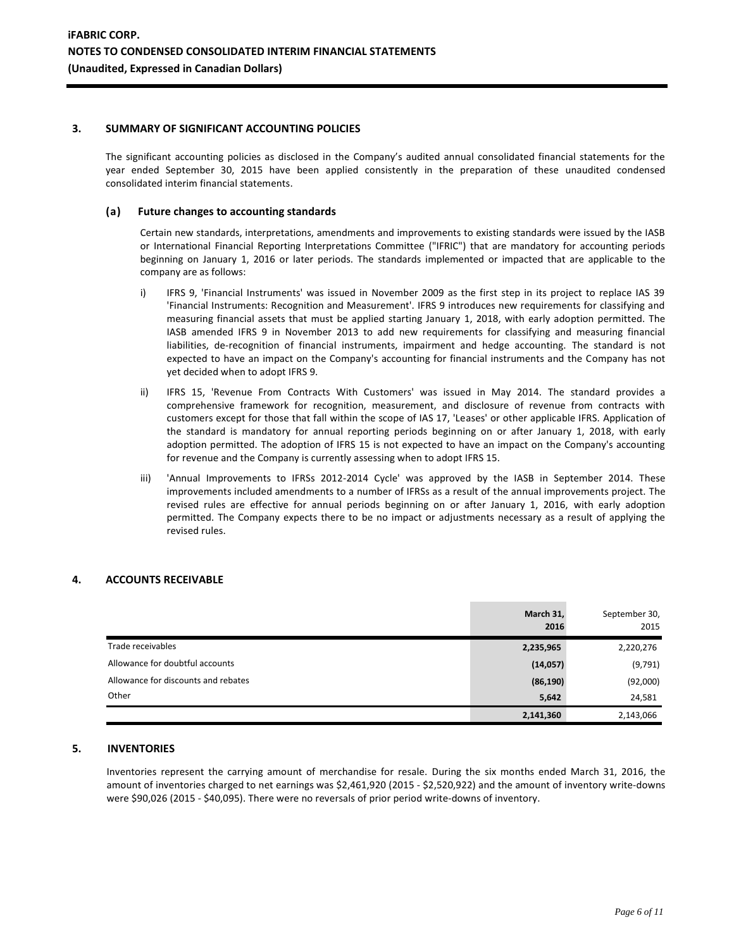#### **3. SUMMARY OF SIGNIFICANT ACCOUNTING POLICIES**

The significant accounting policies as disclosed in the Company's audited annual consolidated financial statements for the year ended September 30, 2015 have been applied consistently in the preparation of these unaudited condensed consolidated interim financial statements.

#### **(a) Future changes to accounting standards**

Certain new standards, interpretations, amendments and improvements to existing standards were issued by the IASB or International Financial Reporting Interpretations Committee ("IFRIC") that are mandatory for accounting periods beginning on January 1, 2016 or later periods. The standards implemented or impacted that are applicable to the company are as follows:

- i) IFRS 9, 'Financial Instruments' was issued in November 2009 as the first step in its project to replace IAS 39 'Financial Instruments: Recognition and Measurement'. IFRS 9 introduces new requirements for classifying and measuring financial assets that must be applied starting January 1, 2018, with early adoption permitted. The IASB amended IFRS 9 in November 2013 to add new requirements for classifying and measuring financial liabilities, de-recognition of financial instruments, impairment and hedge accounting. The standard is not expected to have an impact on the Company's accounting for financial instruments and the Company has not yet decided when to adopt IFRS 9.
- ii) IFRS 15, 'Revenue From Contracts With Customers' was issued in May 2014. The standard provides a comprehensive framework for recognition, measurement, and disclosure of revenue from contracts with customers except for those that fall within the scope of IAS 17, 'Leases' or other applicable IFRS. Application of the standard is mandatory for annual reporting periods beginning on or after January 1, 2018, with early adoption permitted. The adoption of IFRS 15 is not expected to have an impact on the Company's accounting for revenue and the Company is currently assessing when to adopt IFRS 15.
- iii) 'Annual Improvements to IFRSs 2012-2014 Cycle' was approved by the IASB in September 2014. These improvements included amendments to a number of IFRSs as a result of the annual improvements project. The revised rules are effective for annual periods beginning on or after January 1, 2016, with early adoption permitted. The Company expects there to be no impact or adjustments necessary as a result of applying the revised rules.

### **4. ACCOUNTS RECEIVABLE**

|                                     | March 31,<br>2016 | September 30,<br>2015 |
|-------------------------------------|-------------------|-----------------------|
| Trade receivables                   | 2,235,965         | 2,220,276             |
| Allowance for doubtful accounts     | (14, 057)         | (9,791)               |
| Allowance for discounts and rebates | (86, 190)         | (92,000)              |
| Other                               | 5,642             | 24,581                |
|                                     | 2,141,360         | 2,143,066             |

#### **5. INVENTORIES**

Inventories represent the carrying amount of merchandise for resale. During the six months ended March 31, 2016, the amount of inventories charged to net earnings was \$2,461,920 (2015 - \$2,520,922) and the amount of inventory write-downs were \$90,026 (2015 - \$40,095). There were no reversals of prior period write-downs of inventory.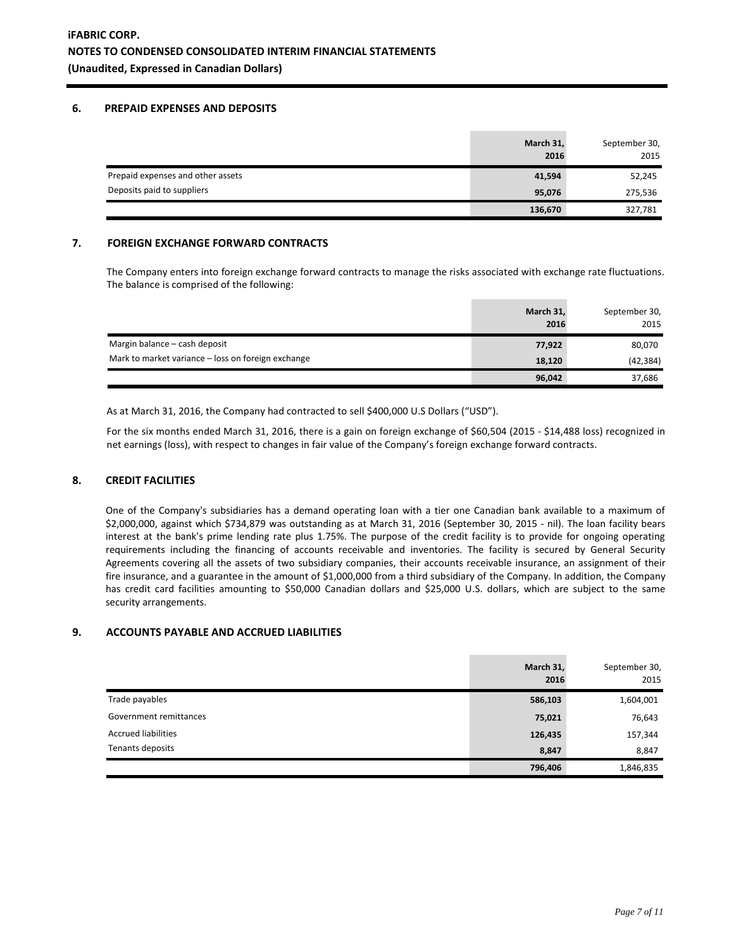#### **6. PREPAID EXPENSES AND DEPOSITS**

|                                   | March 31,<br>2016 | September 30,<br>2015 |
|-----------------------------------|-------------------|-----------------------|
| Prepaid expenses and other assets | 41,594            | 52,245                |
| Deposits paid to suppliers        | 95,076            | 275,536               |
|                                   | 136,670           | 327,781               |

#### **7. FOREIGN EXCHANGE FORWARD CONTRACTS**

The Company enters into foreign exchange forward contracts to manage the risks associated with exchange rate fluctuations. The balance is comprised of the following:

|                                                    | March 31,<br>2016 | September 30,<br>2015 |
|----------------------------------------------------|-------------------|-----------------------|
| Margin balance - cash deposit                      | 77,922            | 80,070                |
| Mark to market variance - loss on foreign exchange | 18,120            | (42, 384)             |
|                                                    | 96,042            | 37,686                |

As at March 31, 2016, the Company had contracted to sell \$400,000 U.S Dollars ("USD").

For the six months ended March 31, 2016, there is a gain on foreign exchange of \$60,504 (2015 - \$14,488 loss) recognized in net earnings (loss), with respect to changes in fair value of the Company's foreign exchange forward contracts.

## **8. CREDIT FACILITIES**

One of the Company's subsidiaries has a demand operating loan with a tier one Canadian bank available to a maximum of \$2,000,000, against which \$734,879 was outstanding as at March 31, 2016 (September 30, 2015 - nil). The loan facility bears interest at the bank's prime lending rate plus 1.75%. The purpose of the credit facility is to provide for ongoing operating requirements including the financing of accounts receivable and inventories. The facility is secured by General Security Agreements covering all the assets of two subsidiary companies, their accounts receivable insurance, an assignment of their fire insurance, and a guarantee in the amount of \$1,000,000 from a third subsidiary of the Company. In addition, the Company has credit card facilities amounting to \$50,000 Canadian dollars and \$25,000 U.S. dollars, which are subject to the same security arrangements.

## **9. ACCOUNTS PAYABLE AND ACCRUED LIABILITIES**

|                            | March 31,<br>2016 | September 30,<br>2015 |
|----------------------------|-------------------|-----------------------|
| Trade payables             | 586,103           | 1,604,001             |
| Government remittances     | 75,021            | 76,643                |
| <b>Accrued liabilities</b> | 126,435           | 157,344               |
| Tenants deposits           | 8,847             | 8,847                 |
|                            | 796,406           | 1,846,835             |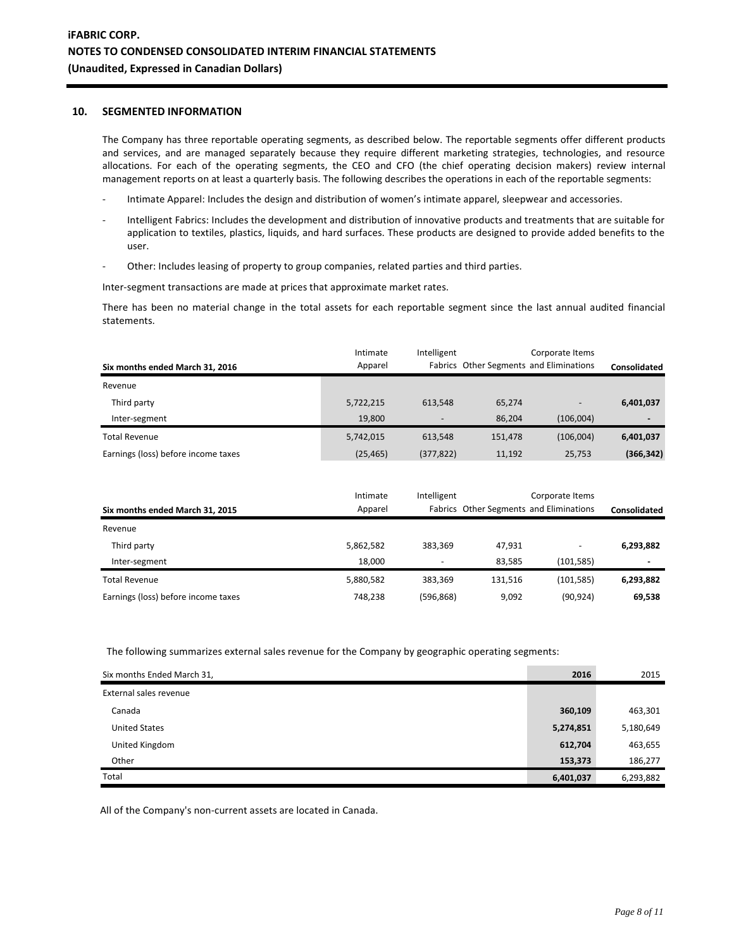### **10. SEGMENTED INFORMATION**

The Company has three reportable operating segments, as described below. The reportable segments offer different products and services, and are managed separately because they require different marketing strategies, technologies, and resource allocations. For each of the operating segments, the CEO and CFO (the chief operating decision makers) review internal management reports on at least a quarterly basis. The following describes the operations in each of the reportable segments:

- Intimate Apparel: Includes the design and distribution of women's intimate apparel, sleepwear and accessories.
- Intelligent Fabrics: Includes the development and distribution of innovative products and treatments that are suitable for application to textiles, plastics, liquids, and hard surfaces. These products are designed to provide added benefits to the user.
- Other: Includes leasing of property to group companies, related parties and third parties.

Inter-segment transactions are made at prices that approximate market rates.

There has been no material change in the total assets for each reportable segment since the last annual audited financial statements.

| Six months ended March 31, 2016     | Intimate<br>Apparel | Intelligent              | Corporate Items |                          | Fabrics Other Segments and Eliminations |  | <b>Consolidated</b> |
|-------------------------------------|---------------------|--------------------------|-----------------|--------------------------|-----------------------------------------|--|---------------------|
| Revenue                             |                     |                          |                 |                          |                                         |  |                     |
| Third party                         | 5,722,215           | 613.548                  | 65,274          | $\overline{\phantom{a}}$ | 6,401,037                               |  |                     |
| Inter-segment                       | 19,800              | $\overline{\phantom{0}}$ | 86,204          | (106,004)                | $\blacksquare$                          |  |                     |
| <b>Total Revenue</b>                | 5,742,015           | 613.548                  | 151,478         | (106,004)                | 6,401,037                               |  |                     |
| Earnings (loss) before income taxes | (25, 465)           | (377, 822)               | 11,192          | 25,753                   | (366, 342)                              |  |                     |

|                                     | Intimate<br>Intelligent |                          | Corporate Items                         |            |                     |  |  |  |  |
|-------------------------------------|-------------------------|--------------------------|-----------------------------------------|------------|---------------------|--|--|--|--|
| Six months ended March 31, 2015     | Apparel                 |                          | Fabrics Other Segments and Eliminations |            | <b>Consolidated</b> |  |  |  |  |
| Revenue                             |                         |                          |                                         |            |                     |  |  |  |  |
| Third party                         | 5,862,582               | 383.369                  | 47.931                                  | -          | 6,293,882           |  |  |  |  |
| Inter-segment                       | 18.000                  | $\overline{\phantom{0}}$ | 83,585                                  | (101, 585) | $\blacksquare$      |  |  |  |  |
| Total Revenue                       | 5,880,582               | 383.369                  | 131.516                                 | (101, 585) | 6,293,882           |  |  |  |  |
| Earnings (loss) before income taxes | 748.238                 | (596, 868)               | 9.092                                   | (90, 924)  | 69,538              |  |  |  |  |

The following summarizes external sales revenue for the Company by geographic operating segments:

| Six months Ended March 31, | 2016      | 2015      |
|----------------------------|-----------|-----------|
| External sales revenue     |           |           |
| Canada                     | 360,109   | 463,301   |
| <b>United States</b>       | 5,274,851 | 5,180,649 |
| United Kingdom             | 612,704   | 463,655   |
| Other                      | 153,373   | 186,277   |
| Total                      | 6,401,037 | 6,293,882 |

All of the Company's non-current assets are located in Canada.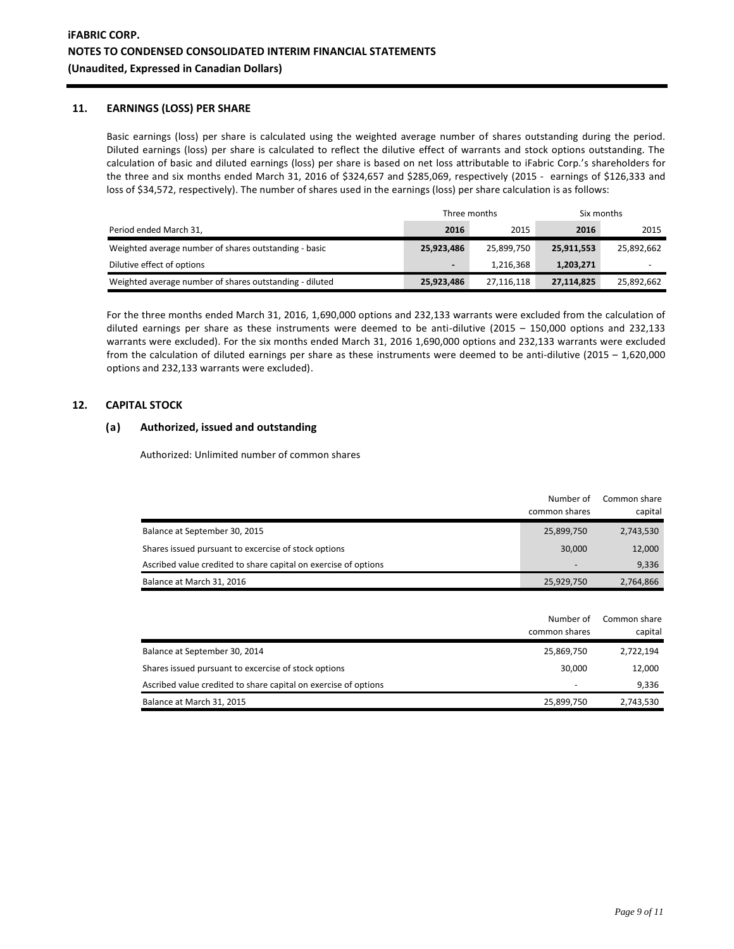### **11. EARNINGS (LOSS) PER SHARE**

Basic earnings (loss) per share is calculated using the weighted average number of shares outstanding during the period. Diluted earnings (loss) per share is calculated to reflect the dilutive effect of warrants and stock options outstanding. The calculation of basic and diluted earnings (loss) per share is based on net loss attributable to iFabric Corp.'s shareholders for the three and six months ended March 31, 2016 of \$324,657 and \$285,069, respectively (2015 - earnings of \$126,333 and loss of \$34,572, respectively). The number of shares used in the earnings (loss) per share calculation is as follows:

|                                                         |                | Three months | Six months |            |
|---------------------------------------------------------|----------------|--------------|------------|------------|
| Period ended March 31,                                  | 2016           | 2015         | 2016       | 2015       |
| Weighted average number of shares outstanding - basic   | 25,923,486     | 25,899,750   | 25,911,553 | 25,892,662 |
| Dilutive effect of options                              | $\blacksquare$ | 1,216,368    | 1,203,271  |            |
| Weighted average number of shares outstanding - diluted | 25,923,486     | 27,116,118   | 27,114,825 | 25,892,662 |

For the three months ended March 31, 2016, 1,690,000 options and 232,133 warrants were excluded from the calculation of diluted earnings per share as these instruments were deemed to be anti-dilutive (2015 – 150,000 options and 232,133 warrants were excluded). For the six months ended March 31, 2016 1,690,000 options and 232,133 warrants were excluded from the calculation of diluted earnings per share as these instruments were deemed to be anti-dilutive (2015 – 1,620,000 options and 232,133 warrants were excluded).

### **12. CAPITAL STOCK**

### **(a) Authorized, issued and outstanding**

Authorized: Unlimited number of common shares

|                                                                 | Number of<br>common shares | Common share<br>capital |
|-----------------------------------------------------------------|----------------------------|-------------------------|
| Balance at September 30, 2015                                   | 25,899,750                 | 2,743,530               |
| Shares issued pursuant to excercise of stock options            | 30,000                     | 12,000                  |
| Ascribed value credited to share capital on exercise of options | $\overline{\phantom{0}}$   | 9,336                   |
| Balance at March 31, 2016                                       | 25,929,750                 | 2,764,866               |

|                                                                 | Number of<br>common shares | Common share<br>capital |
|-----------------------------------------------------------------|----------------------------|-------------------------|
| Balance at September 30, 2014                                   | 25,869,750                 | 2,722,194               |
| Shares issued pursuant to excercise of stock options            | 30.000                     | 12,000                  |
| Ascribed value credited to share capital on exercise of options | $\overline{\phantom{a}}$   | 9.336                   |
| Balance at March 31, 2015                                       | 25,899,750                 | 2,743,530               |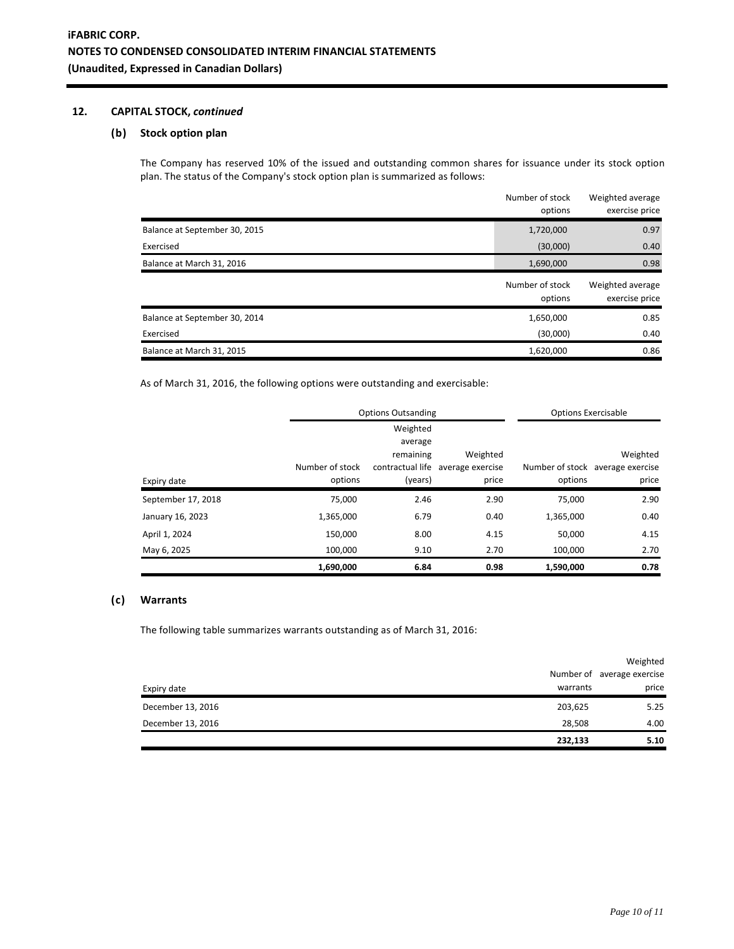## **12. CAPITAL STOCK,** *continued*

## **(b) Stock option plan**

The Company has reserved 10% of the issued and outstanding common shares for issuance under its stock option plan. The status of the Company's stock option plan is summarized as follows:

|                               | Number of stock<br>options | Weighted average<br>exercise price |
|-------------------------------|----------------------------|------------------------------------|
| Balance at September 30, 2015 | 1,720,000                  | 0.97                               |
| Exercised                     | (30,000)                   | 0.40                               |
| Balance at March 31, 2016     | 1,690,000                  | 0.98                               |
|                               | Number of stock<br>options | Weighted average<br>exercise price |
| Balance at September 30, 2014 | 1,650,000                  | 0.85                               |
| Exercised                     | (30,000)                   | 0.40                               |
| Balance at March 31, 2015     | 1,620,000                  | 0.86                               |

As of March 31, 2016, the following options were outstanding and exercisable:

|                    | <b>Options Outsanding</b> |                  |                  | <b>Options Exercisable</b> |                                  |
|--------------------|---------------------------|------------------|------------------|----------------------------|----------------------------------|
|                    |                           | Weighted         |                  |                            |                                  |
|                    |                           | average          |                  |                            |                                  |
|                    |                           | remaining        | Weighted         |                            | Weighted                         |
|                    | Number of stock           | contractual life | average exercise |                            | Number of stock average exercise |
| Expiry date        | options                   | (years)          | price            | options                    | price                            |
| September 17, 2018 | 75,000                    | 2.46             | 2.90             | 75,000                     | 2.90                             |
| January 16, 2023   | 1,365,000                 | 6.79             | 0.40             | 1,365,000                  | 0.40                             |
| April 1, 2024      | 150,000                   | 8.00             | 4.15             | 50,000                     | 4.15                             |
| May 6, 2025        | 100.000                   | 9.10             | 2.70             | 100,000                    | 2.70                             |
|                    | 1,690,000                 | 6.84             | 0.98             | 1,590,000                  | 0.78                             |

## **(c) Warrants**

The following table summarizes warrants outstanding as of March 31, 2016:

|                   |          | Weighted                   |
|-------------------|----------|----------------------------|
|                   |          | Number of average exercise |
| Expiry date       | warrants | price                      |
| December 13, 2016 | 203,625  | 5.25                       |
| December 13, 2016 | 28,508   | 4.00                       |
|                   | 232,133  | 5.10                       |